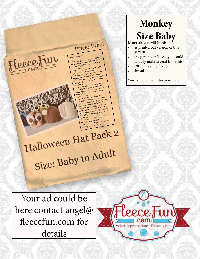

Your ad could be here contact angel@ fleecefun.com for details



## **Monkey Size Baby**

Materials you will Need:

- A printed out version of this pattern.
- 1/3 yard polar fleece (you could actually make several from this)
- 1/8 contrasting fleece
- thread

You can find the instuctions here.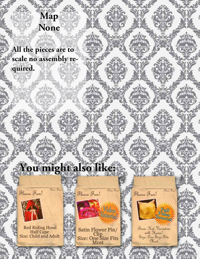## **Map None**

**All the pieces are to scale no assembly required.**

## You might also like:

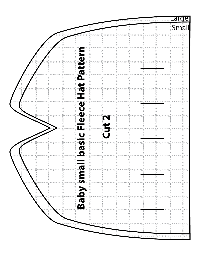